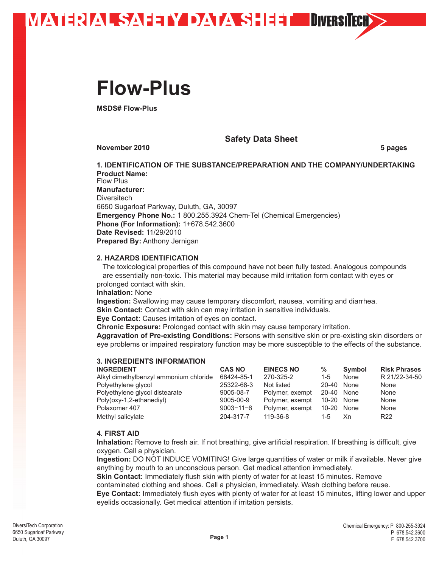

### **Flow-Plus**

**MSDS# Flow-Plus**

**Safety Data Sheet**

**November 2010** 5 pages

**1. IDENTIFICATION OF THE SUBSTANCE/PREPARATION AND THE COMPANY/UNDERTAKING Product Name:** Flow Plus **Manufacturer: Diversitech** 6650 Sugarloaf Parkway, Duluth, GA, 30097 **Emergency Phone No.:** 1 800.255.3924 Chem-Tel (Chemical Emergencies) **Phone (For Information):** 1+678.542.3600 **Date Revised:** 11/29/2010 **Prepared By:** Anthony Jernigan

#### **2. HAZARDS IDENTIFICATION**

 The toxicological properties of this compound have not been fully tested. Analogous compounds are essentially non-toxic. This material may because mild irritation form contact with eyes or prolonged contact with skin.

**Inhalation:** None

**Ingestion:** Swallowing may cause temporary discomfort, nausea, vomiting and diarrhea.

**Skin Contact:** Contact with skin can may irritation in sensitive individuals.

**Eye Contact:** Causes irritation of eyes on contact.

**Chronic Exposure:** Prolonged contact with skin may cause temporary irritation.

**Aggravation of Pre-existing Conditions:** Persons with sensitive skin or pre-existing skin disorders or eye problems or impaired respiratory function may be more susceptible to the effects of the substance.

### **3. INGREDIENTS INFORMATION**

| <b>CAS NO</b>   | <b>EINECS NO</b> | %       | Symbol | <b>Risk Phrases</b>                    |
|-----------------|------------------|---------|--------|----------------------------------------|
| 68424-85-1      | 270-325-2        | $1 - 5$ | None   | R 21/22-34-50                          |
| 25322-68-3      | Not listed       | 20-40   | None   | None                                   |
| 9005-08-7       | Polymer, exempt  |         |        | None                                   |
| 9005-00-9       | Polymer, exempt  |         |        | None                                   |
| $9003 - 11 - 6$ | Polymer, exempt  |         |        | None                                   |
| 204-317-7       | 119-36-8         | $1 - 5$ | Xn.    | R <sub>22</sub>                        |
|                 |                  |         |        | 20-40 None<br>10-20 None<br>10-20 None |

#### **4. FIRST AID**

**Inhalation:** Remove to fresh air. If not breathing, give artificial respiration. If breathing is difficult, give oxygen. Call a physician.

**Ingestion:** DO NOT INDUCE VOMITING! Give large quantities of water or milk if available. Never give anything by mouth to an unconscious person. Get medical attention immediately.

**Skin Contact:** Immediately flush skin with plenty of water for at least 15 minutes. Remove

contaminated clothing and shoes. Call a physician, immediately. Wash clothing before reuse.

**Eye Contact:** Immediately flush eyes with plenty of water for at least 15 minutes, lifting lower and upper eyelids occasionally. Get medical attention if irritation persists.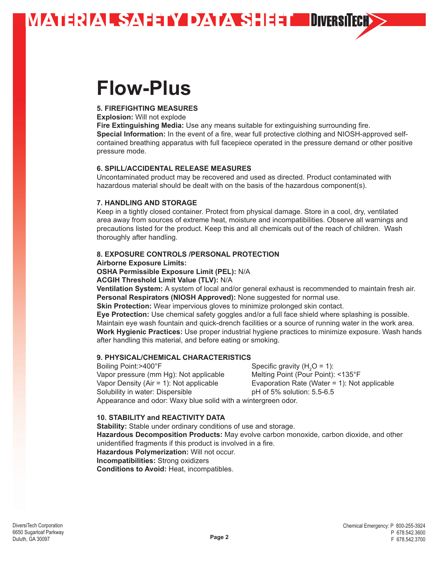**MATERIAL SAFETY DATA SHEET DIVERSITECH>** 

### **Flow-Plus**

#### **5. FIREFIGHTING MEASURES**

**Explosion:** Will not explode

**Fire Extinguishing Media:** Use any means suitable for extinguishing surrounding fire. **Special Information:** In the event of a fire, wear full protective clothing and NIOSH-approved selfcontained breathing apparatus with full facepiece operated in the pressure demand or other positive pressure mode.

#### **6. SPILL/ACCIDENTAL RELEASE MEASURES**

Uncontaminated product may be recovered and used as directed. Product contaminated with hazardous material should be dealt with on the basis of the hazardous component(s).

#### **7. HANDLING AND STORAGE**

Keep in a tightly closed container. Protect from physical damage. Store in a cool, dry, ventilated area away from sources of extreme heat, moisture and incompatibilities. Observe all warnings and precautions listed for the product. Keep this and all chemicals out of the reach of children. Wash thoroughly after handling.

#### **8. EXPOSURE CONTROLS /PERSONAL PROTECTION**

**Airborne Exposure Limits:**

**OSHA Permissible Exposure Limit (PEL):** N/A

**ACGIH Threshold Limit Value (TLV):** N/A

**Ventilation System:** A system of local and/or general exhaust is recommended to maintain fresh air. **Personal Respirators (NIOSH Approved):** None suggested for normal use.

**Skin Protection:** Wear impervious gloves to minimize prolonged skin contact.

**Eye Protection:** Use chemical safety goggles and/or a full face shield where splashing is possible. Maintain eye wash fountain and quick-drench facilities or a source of running water in the work area. **Work Hygienic Practices:** Use proper industrial hygiene practices to minimize exposure. Wash hands after handling this material, and before eating or smoking.

#### **9. PHYSICAL/CHEMICAL CHARACTERISTICS**

Boiling Point:>400°F <br>Vapor pressure (mm Hg): Not applicable Melting Point (Pour Point): <135°F Vapor pressure (mm Hg): Not applicable Solubility in water: Dispersible pH of 5% solution: 5.5-6.5

Specific gravity  $(H<sub>2</sub>O = 1)$ : Vapor Density (Air = 1): Not applicable Evaporation Rate (Water = 1): Not applicable

Appearance and odor: Waxy blue solid with a wintergreen odor.

#### **10. STABILITY and REACTIVITY DATA**

**Stability:** Stable under ordinary conditions of use and storage. **Hazardous Decomposition Products:** May evolve carbon monoxide, carbon dioxide, and other unidentified fragments if this product is involved in a fire. **Hazardous Polymerization:** Will not occur. **Incompatibilities:** Strong oxidizers **Conditions to Avoid:** Heat, incompatibles.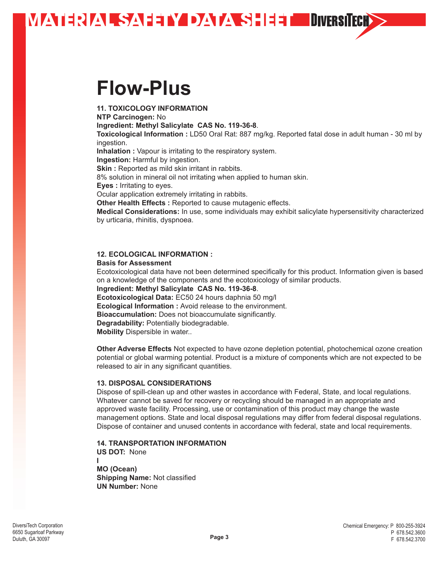### **MATERIAL SAFEWOATSHET DIVERSIECH>**

## **Flow-Plus**

**11. TOXICOLOGY INFORMATION** 

**NTP Carcinogen:** No

**Ingredient: Methyl Salicylate CAS No. 119-36-8**.

**Toxicological Information :** LD50 Oral Rat: 887 mg/kg. Reported fatal dose in adult human - 30 ml by ingestion.

**Inhalation :** Vapour is irritating to the respiratory system.

**Ingestion:** Harmful by ingestion.

**Skin :** Reported as mild skin irritant in rabbits.

8% solution in mineral oil not irritating when applied to human skin.

**Eyes :** Irritating to eyes.

Ocular application extremely irritating in rabbits.

**Other Health Effects :** Reported to cause mutagenic effects.

**Medical Considerations:** In use, some individuals may exhibit salicylate hypersensitivity characterized by urticaria, rhinitis, dyspnoea.

#### **12. ECOLOGICAL INFORMATION :**

#### **Basis for Assessment**

Ecotoxicological data have not been determined specifically for this product. Information given is based on a knowledge of the components and the ecotoxicology of similar products.

**Ingredient: Methyl Salicylate CAS No. 119-36-8**.

**Ecotoxicological Data:** EC50 24 hours daphnia 50 mg/l

**Ecological Information :** Avoid release to the environment.

**Bioaccumulation:** Does not bioaccumulate significantly.

**Degradability:** Potentially biodegradable.

**Mobility** Dispersible in water..

**Other Adverse Effects** Not expected to have ozone depletion potential, photochemical ozone creation potential or global warming potential. Product is a mixture of components which are not expected to be released to air in any significant quantities.

#### **13. DISPOSAL CONSIDERATIONS**

Dispose of spill-clean up and other wastes in accordance with Federal, State, and local regulations. Whatever cannot be saved for recovery or recycling should be managed in an appropriate and approved waste facility. Processing, use or contamination of this product may change the waste management options. State and local disposal regulations may differ from federal disposal regulations. Dispose of container and unused contents in accordance with federal, state and local requirements.

#### **14. TRANSPORTATION INFORMATION**

**US DOT:** None **I MO (Ocean) Shipping Name:** Not classified **UN Number:** None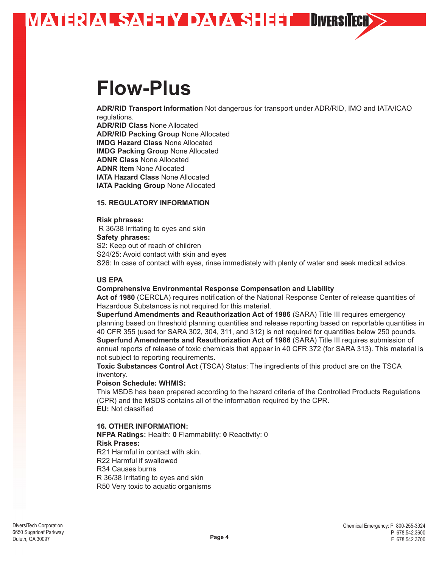

### **Flow-Plus**

**ADR/RID Transport Information** Not dangerous for transport under ADR/RID, IMO and IATA/ICAO regulations.

**ADR/RID Class** None Allocated **ADR/RID Packing Group** None Allocated **IMDG Hazard Class** None Allocated **IMDG Packing Group** None Allocated **ADNR Class** None Allocated **ADNR Item** None Allocated **IATA Hazard Class** None Allocated **IATA Packing Group** None Allocated

#### **15. REGULATORY INFORMATION**

#### **Risk phrases:**

R 36/38 Irritating to eyes and skin **Safety phrases:**

S2: Keep out of reach of children S24/25: Avoid contact with skin and eyes S26: In case of contact with eyes, rinse immediately with plenty of water and seek medical advice.

#### **US EPA**

#### **Comprehensive Environmental Response Compensation and Liability**

**Act of 1980** (CERCLA) requires notification of the National Response Center of release quantities of Hazardous Substances is not required for this material.

**Superfund Amendments and Reauthorization Act of 1986** (SARA) Title III requires emergency planning based on threshold planning quantities and release reporting based on reportable quantities in 40 CFR 355 (used for SARA 302, 304, 311, and 312) is not required for quantities below 250 pounds. **Superfund Amendments and Reauthorization Act of 1986** (SARA) Title III requires submission of annual reports of release of toxic chemicals that appear in 40 CFR 372 (for SARA 313). This material is not subject to reporting requirements.

**Toxic Substances Control Act** (TSCA) Status: The ingredients of this product are on the TSCA inventory.

#### **Poison Schedule: WHMIS:**

This MSDS has been prepared according to the hazard criteria of the Controlled Products Regulations (CPR) and the MSDS contains all of the information required by the CPR. **EU:** Not classified

#### **16. OTHER INFORMATION:**

**NFPA Ratings:** Health: **0** Flammability: **0** Reactivity: 0 **Risk Prases:** R21 Harmful in contact with skin. R22 Harmful if swallowed R34 Causes burns R 36/38 Irritating to eyes and skin R50 Very toxic to aquatic organisms